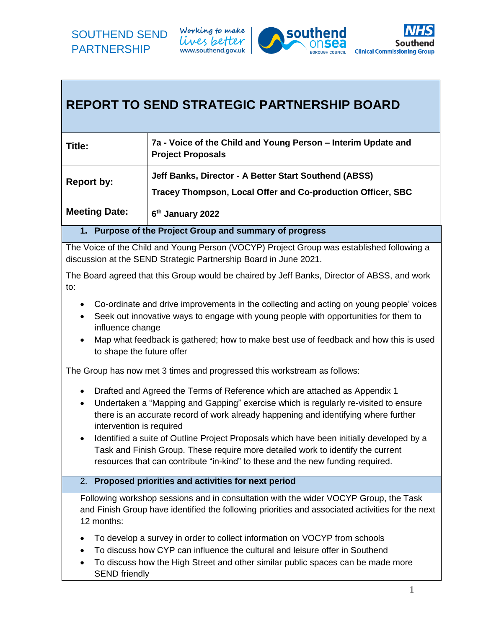



# **REPORT TO SEND STRATEGIC PARTNERSHIP BOARD**

| Title:               | 7a - Voice of the Child and Young Person – Interim Update and<br><b>Project Proposals</b>                            |
|----------------------|----------------------------------------------------------------------------------------------------------------------|
| <b>Report by:</b>    | Jeff Banks, Director - A Better Start Southend (ABSS)<br>Tracey Thompson, Local Offer and Co-production Officer, SBC |
| <b>Meeting Date:</b> | 6 <sup>th</sup> January 2022                                                                                         |

**1. Purpose of the Project Group and summary of progress**

The Voice of the Child and Young Person (VOCYP) Project Group was established following a discussion at the SEND Strategic Partnership Board in June 2021.

The Board agreed that this Group would be chaired by Jeff Banks, Director of ABSS, and work to:

- Co-ordinate and drive improvements in the collecting and acting on young people' voices
- Seek out innovative ways to engage with young people with opportunities for them to influence change
- Map what feedback is gathered; how to make best use of feedback and how this is used to shape the future offer

The Group has now met 3 times and progressed this workstream as follows:

- Drafted and Agreed the Terms of Reference which are attached as Appendix 1
- Undertaken a "Mapping and Gapping" exercise which is regularly re-visited to ensure there is an accurate record of work already happening and identifying where further intervention is required
- Identified a suite of Outline Project Proposals which have been initially developed by a Task and Finish Group. These require more detailed work to identify the current resources that can contribute "in-kind" to these and the new funding required.
- 2. **Proposed priorities and activities for next period**

Following workshop sessions and in consultation with the wider VOCYP Group, the Task and Finish Group have identified the following priorities and associated activities for the next 12 months:

- To develop a survey in order to collect information on VOCYP from schools
- To discuss how CYP can influence the cultural and leisure offer in Southend
- To discuss how the High Street and other similar public spaces can be made more SEND friendly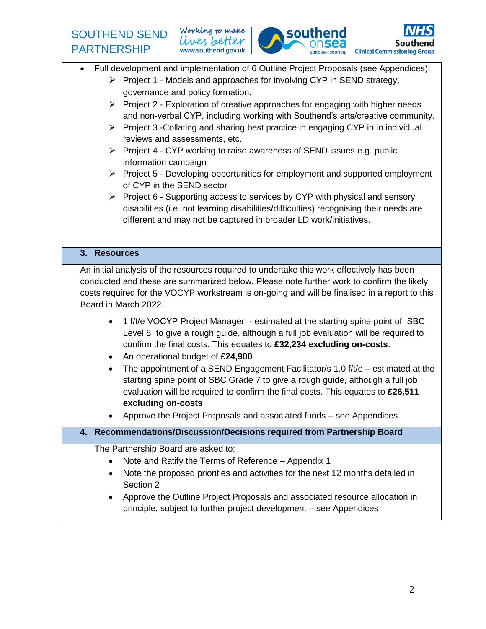



| $\bullet$                         | Full development and implementation of 6 Outline Project Proposals (see Appendices):                                                                                                                                                                                                                                                                                   |
|-----------------------------------|------------------------------------------------------------------------------------------------------------------------------------------------------------------------------------------------------------------------------------------------------------------------------------------------------------------------------------------------------------------------|
|                                   | > Project 1 - Models and approaches for involving CYP in SEND strategy,                                                                                                                                                                                                                                                                                                |
|                                   | governance and policy formation.                                                                                                                                                                                                                                                                                                                                       |
|                                   | $\triangleright$ Project 2 - Exploration of creative approaches for engaging with higher needs                                                                                                                                                                                                                                                                         |
|                                   | and non-verbal CYP, including working with Southend's arts/creative community.                                                                                                                                                                                                                                                                                         |
|                                   | > Project 3 - Collating and sharing best practice in engaging CYP in in individual                                                                                                                                                                                                                                                                                     |
|                                   | reviews and assessments, etc.                                                                                                                                                                                                                                                                                                                                          |
|                                   | ▶ Project 4 - CYP working to raise awareness of SEND issues e.g. public                                                                                                                                                                                                                                                                                                |
|                                   | information campaign                                                                                                                                                                                                                                                                                                                                                   |
|                                   | > Project 5 - Developing opportunities for employment and supported employment                                                                                                                                                                                                                                                                                         |
|                                   | of CYP in the SEND sector                                                                                                                                                                                                                                                                                                                                              |
|                                   | $\triangleright$ Project 6 - Supporting access to services by CYP with physical and sensory<br>disabilities (i.e. not learning disabilities/difficulties) recognising their needs are                                                                                                                                                                                  |
|                                   | different and may not be captured in broader LD work/initiatives.                                                                                                                                                                                                                                                                                                      |
|                                   |                                                                                                                                                                                                                                                                                                                                                                        |
|                                   |                                                                                                                                                                                                                                                                                                                                                                        |
| 3. Resources                      |                                                                                                                                                                                                                                                                                                                                                                        |
| Board in March 2022.<br>$\bullet$ | An initial analysis of the resources required to undertake this work effectively has been<br>conducted and these are summarized below. Please note further work to confirm the likely<br>costs required for the VOCYP workstream is on-going and will be finalised in a report to this<br>1 f/t/e VOCYP Project Manager - estimated at the starting spine point of SBC |
| $\bullet$                         | Level 8 to give a rough guide, although a full job evaluation will be required to<br>confirm the final costs. This equates to £32,234 excluding on-costs.<br>An operational budget of £24,900                                                                                                                                                                          |
| $\bullet$                         | The appointment of a SEND Engagement Facilitator/s 1.0 f/t/e - estimated at the<br>starting spine point of SBC Grade 7 to give a rough guide, although a full job<br>evaluation will be required to confirm the final costs. This equates to £26,511<br>excluding on-costs                                                                                             |
|                                   | Approve the Project Proposals and associated funds - see Appendices                                                                                                                                                                                                                                                                                                    |
| 4.                                | Recommendations/Discussion/Decisions required from Partnership Board                                                                                                                                                                                                                                                                                                   |
|                                   | The Partnership Board are asked to:                                                                                                                                                                                                                                                                                                                                    |
| $\bullet$                         | Note and Ratify the Terms of Reference - Appendix 1                                                                                                                                                                                                                                                                                                                    |
| $\bullet$                         | Note the proposed priorities and activities for the next 12 months detailed in<br>Section 2                                                                                                                                                                                                                                                                            |
|                                   | Approve the Outline Project Proposals and associated resource allocation in<br>principle, subject to further project development - see Appendices                                                                                                                                                                                                                      |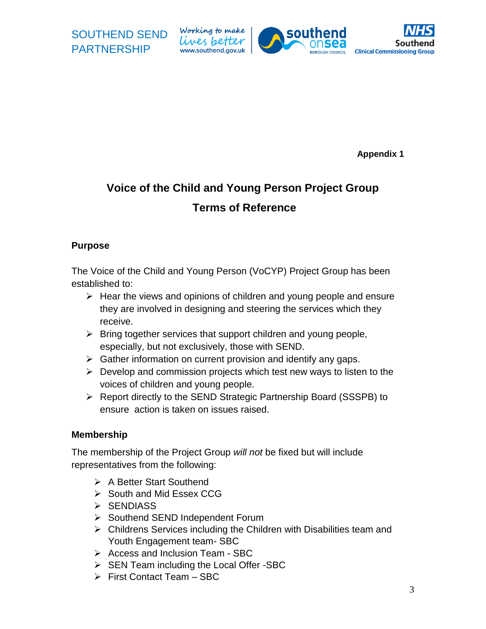Working to make lives better www.southend.gov.uk



**Appendix 1**

# **Voice of the Child and Young Person Project Group Terms of Reference**

## **Purpose**

The Voice of the Child and Young Person (VoCYP) Project Group has been established to:

- $\triangleright$  Hear the views and opinions of children and young people and ensure they are involved in designing and steering the services which they receive.
- $\triangleright$  Bring together services that support children and young people, especially, but not exclusively, those with SEND.
- $\triangleright$  Gather information on current provision and identify any gaps.
- $\triangleright$  Develop and commission projects which test new ways to listen to the voices of children and young people.
- ▶ Report directly to the SEND Strategic Partnership Board (SSSPB) to ensure action is taken on issues raised.

## **Membership**

The membership of the Project Group *will not* be fixed but will include representatives from the following:

- $\triangleright$  A Better Start Southend
- $\triangleright$  South and Mid Essex CCG
- $\triangleright$  SENDIASS
- ▶ Southend SEND Independent Forum
- $\triangleright$  Childrens Services including the Children with Disabilities team and Youth Engagement team- SBC
- $\triangleright$  Access and Inclusion Team SBC
- $\triangleright$  SEN Team including the Local Offer -SBC
- $\triangleright$  First Contact Team SBC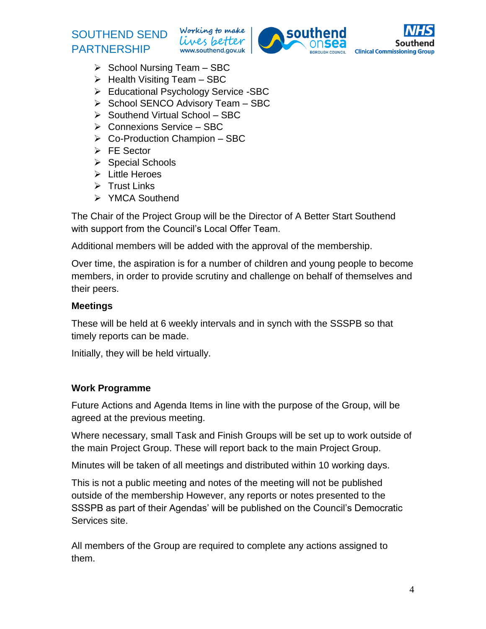Working to make lives better www.southend.gov.uk



- $\triangleright$  School Nursing Team SBC
- $\triangleright$  Health Visiting Team SBC
- Educational Psychology Service -SBC
- $\triangleright$  School SENCO Advisory Team SBC
- $\triangleright$  Southend Virtual School SBC
- $\triangleright$  Connexions Service SBC
- $\triangleright$  Co-Production Champion SBC
- $\triangleright$  FE Sector
- $\triangleright$  Special Schools
- Little Heroes
- $\triangleright$  Trust Links
- **▶ YMCA Southend**

The Chair of the Project Group will be the Director of A Better Start Southend with support from the Council's Local Offer Team.

Additional members will be added with the approval of the membership.

Over time, the aspiration is for a number of children and young people to become members, in order to provide scrutiny and challenge on behalf of themselves and their peers.

## **Meetings**

These will be held at 6 weekly intervals and in synch with the SSSPB so that timely reports can be made.

Initially, they will be held virtually.

## **Work Programme**

Future Actions and Agenda Items in line with the purpose of the Group, will be agreed at the previous meeting.

Where necessary, small Task and Finish Groups will be set up to work outside of the main Project Group. These will report back to the main Project Group.

Minutes will be taken of all meetings and distributed within 10 working days.

This is not a public meeting and notes of the meeting will not be published outside of the membership However, any reports or notes presented to the SSSPB as part of their Agendas' will be published on the Council's Democratic Services site.

All members of the Group are required to complete any actions assigned to them.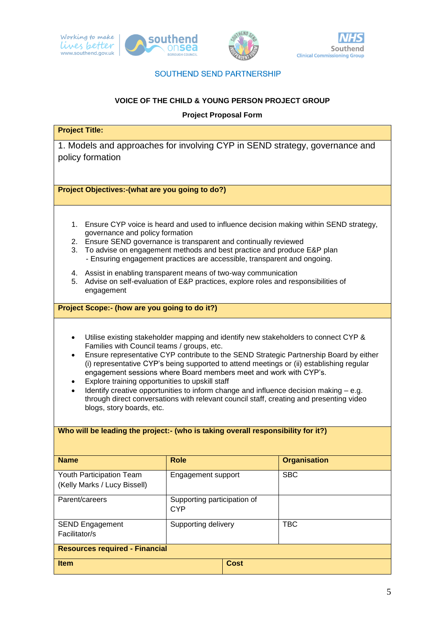

#### **VOICE OF THE CHILD & YOUNG PERSON PROJECT GROUP**

#### **Project Proposal Form**

|  |  | <b>Project Title:</b> |  |
|--|--|-----------------------|--|
|--|--|-----------------------|--|

1. Models and approaches for involving CYP in SEND strategy, governance and policy formation

**Project Objectives:-(what are you going to do?)**

- 1. Ensure CYP voice is heard and used to influence decision making within SEND strategy, governance and policy formation
- 2. Ensure SEND governance is transparent and continually reviewed
- 3. To advise on engagement methods and best practice and produce E&P plan - Ensuring engagement practices are accessible, transparent and ongoing.
- 4. Assist in enabling transparent means of two-way communication
- 5. Advise on self-evaluation of E&P practices, explore roles and responsibilities of engagement

**Project Scope:- (how are you going to do it?)**

- Utilise existing stakeholder mapping and identify new stakeholders to connect CYP & Families with Council teams / groups, etc.
- Ensure representative CYP contribute to the SEND Strategic Partnership Board by either (i) representative CYP's being supported to attend meetings or (ii) establishing regular engagement sessions where Board members meet and work with CYP's.
- Explore training opportunities to upskill staff
- Identify creative opportunities to inform change and influence decision making e.g. through direct conversations with relevant council staff, creating and presenting video blogs, story boards, etc.

**Who will be leading the project:- (who is taking overall responsibility for it?)**

| <b>WILD WILL be leading the project.</b> (WILD is taking overall responsibility for it?) |                                           |             |                     |  |
|------------------------------------------------------------------------------------------|-------------------------------------------|-------------|---------------------|--|
| <b>Name</b>                                                                              | <b>Role</b>                               |             | <b>Organisation</b> |  |
| Youth Participation Team<br>(Kelly Marks / Lucy Bissell)                                 | Engagement support                        |             | <b>SBC</b>          |  |
| Parent/careers                                                                           | Supporting participation of<br><b>CYP</b> |             |                     |  |
| <b>SEND Engagement</b><br>Facilitator/s                                                  | Supporting delivery                       |             | <b>TBC</b>          |  |
| <b>Resources required - Financial</b>                                                    |                                           |             |                     |  |
| <b>Item</b>                                                                              |                                           | <b>Cost</b> |                     |  |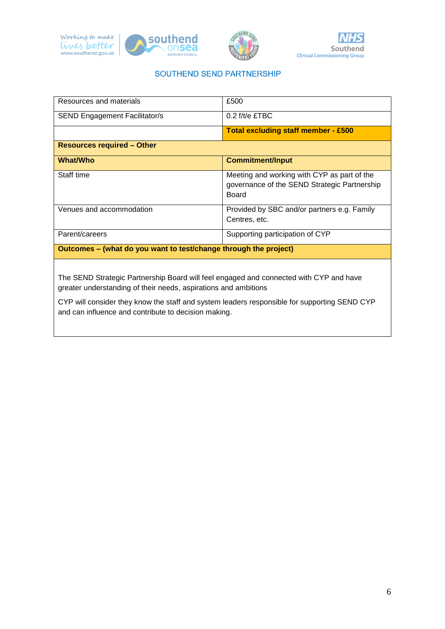





| Resources and materials                                          | £500                                                                                                 |  |
|------------------------------------------------------------------|------------------------------------------------------------------------------------------------------|--|
| <b>SEND Engagement Facilitator/s</b>                             | $0.2$ f/t/e £TBC                                                                                     |  |
|                                                                  | <b>Total excluding staff member - £500</b>                                                           |  |
| <b>Resources required - Other</b>                                |                                                                                                      |  |
| <b>What/Who</b>                                                  | <b>Commitment/Input</b>                                                                              |  |
| Staff time                                                       | Meeting and working with CYP as part of the<br>governance of the SEND Strategic Partnership<br>Board |  |
| Venues and accommodation                                         | Provided by SBC and/or partners e.g. Family<br>Centres, etc.                                         |  |
| Parent/careers                                                   | Supporting participation of CYP                                                                      |  |
| Outcomes - (what do you want to test/change through the project) |                                                                                                      |  |
|                                                                  |                                                                                                      |  |

The SEND Strategic Partnership Board will feel engaged and connected with CYP and have greater understanding of their needs, aspirations and ambitions

CYP will consider they know the staff and system leaders responsible for supporting SEND CYP and can influence and contribute to decision making.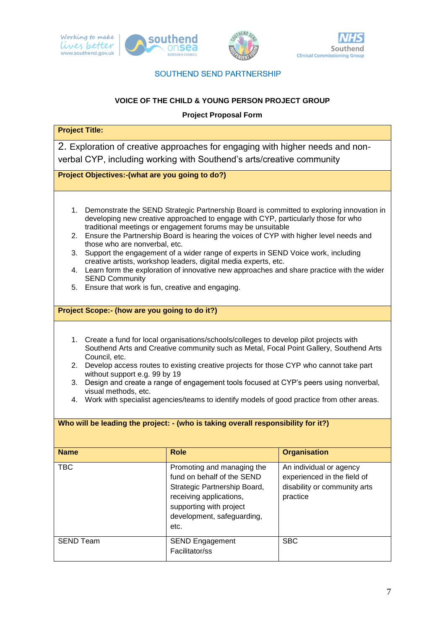

## **VOICE OF THE CHILD & YOUNG PERSON PROJECT GROUP**

#### **Project Proposal Form**

## **Project Title:**

2. Exploration of creative approaches for engaging with higher needs and nonverbal CYP, including working with Southend's arts/creative community

**Project Objectives:-(what are you going to do?)**

- 1. Demonstrate the SEND Strategic Partnership Board is committed to exploring innovation in developing new creative approached to engage with CYP, particularly those for who traditional meetings or engagement forums may be unsuitable
- 2. Ensure the Partnership Board is hearing the voices of CYP with higher level needs and those who are nonverbal, etc.
- 3. Support the engagement of a wider range of experts in SEND Voice work, including creative artists, workshop leaders, digital media experts, etc.
- 4. Learn form the exploration of innovative new approaches and share practice with the wider SEND Community
- 5. Ensure that work is fun, creative and engaging.

#### **Project Scope:- (how are you going to do it?)**

- 1. Create a fund for local organisations/schools/colleges to develop pilot projects with Southend Arts and Creative community such as Metal, Focal Point Gallery, Southend Arts Council, etc.
- 2. Develop access routes to existing creative projects for those CYP who cannot take part without support e.g. 99 by 19
- 3. Design and create a range of engagement tools focused at CYP's peers using nonverbal, visual methods, etc.
- 4. Work with specialist agencies/teams to identify models of good practice from other areas.

| Who will be leading the project: - (who is taking overall responsibility for it?) |                                                                                                                                                                                      |                                                                                                    |  |
|-----------------------------------------------------------------------------------|--------------------------------------------------------------------------------------------------------------------------------------------------------------------------------------|----------------------------------------------------------------------------------------------------|--|
| <b>Name</b>                                                                       | <b>Role</b>                                                                                                                                                                          | <b>Organisation</b>                                                                                |  |
| <b>TBC</b>                                                                        | Promoting and managing the<br>fund on behalf of the SEND<br>Strategic Partnership Board,<br>receiving applications,<br>supporting with project<br>development, safeguarding,<br>etc. | An individual or agency<br>experienced in the field of<br>disability or community arts<br>practice |  |
| <b>SEND Team</b>                                                                  | <b>SEND Engagement</b><br>Facilitator/ss                                                                                                                                             | <b>SBC</b>                                                                                         |  |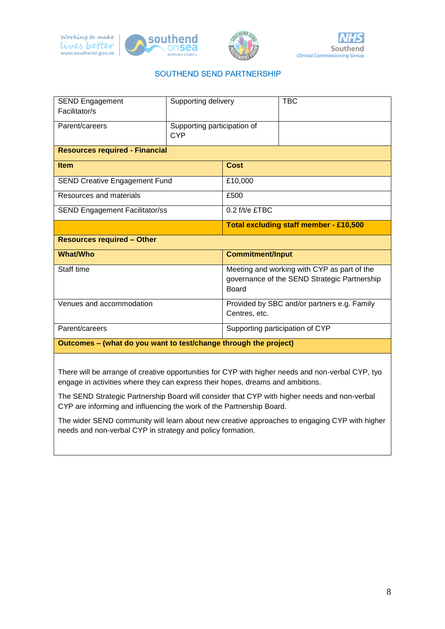



| <b>SEND Engagement</b><br>Facilitator/s               | Supporting delivery                |                                                                                                             | <b>TBC</b>                                    |
|-------------------------------------------------------|------------------------------------|-------------------------------------------------------------------------------------------------------------|-----------------------------------------------|
| Parent/careers                                        | Supporting participation of<br>CYP |                                                                                                             |                                               |
| <b>Resources required - Financial</b>                 |                                    |                                                                                                             |                                               |
| <b>Item</b>                                           |                                    | Cost                                                                                                        |                                               |
| <b>SEND Creative Engagement Fund</b>                  |                                    | £10,000                                                                                                     |                                               |
| Resources and materials                               |                                    | £500                                                                                                        |                                               |
| <b>SEND Engagement Facilitator/ss</b>                 |                                    | $0.2$ f/t/e £TBC                                                                                            |                                               |
|                                                       |                                    |                                                                                                             | <b>Total excluding staff member - £10,500</b> |
| <b>Resources required - Other</b>                     |                                    |                                                                                                             |                                               |
| <b>What/Who</b>                                       |                                    | <b>Commitment/Input</b>                                                                                     |                                               |
| Staff time                                            |                                    | Meeting and working with CYP as part of the<br>governance of the SEND Strategic Partnership<br><b>Board</b> |                                               |
| Venues and accommodation                              |                                    | Centres, etc.                                                                                               | Provided by SBC and/or partners e.g. Family   |
| Parent/careers                                        |                                    |                                                                                                             | Supporting participation of CYP               |
| $\sum_{n=1}^{\infty}$<br>According to the first state | والمتلوخ القرور فالمتلف والمتناور  | Alexandra de la manda de V                                                                                  |                                               |

**Outcomes – (what do you want to test/change through the project)**

There will be arrange of creative opportunities for CYP with higher needs and non-verbal CYP, tyo engage in activities where they can express their hopes, dreams and ambitions.

The SEND Strategic Partnership Board will consider that CYP with higher needs and non-verbal CYP are informing and influencing the work of the Partnership Board.

The wider SEND community will learn about new creative approaches to engaging CYP with higher needs and non-verbal CYP in strategy and policy formation.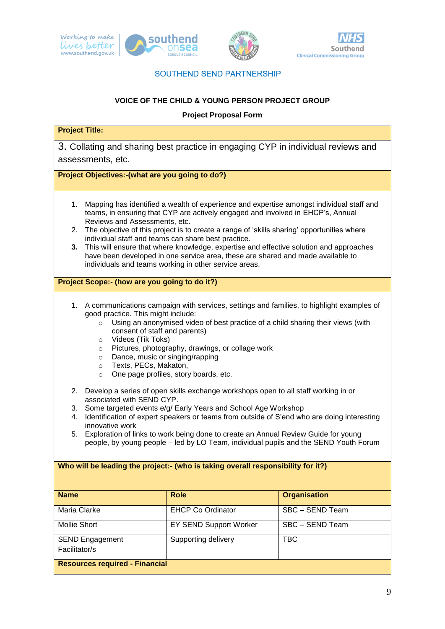

#### **VOICE OF THE CHILD & YOUNG PERSON PROJECT GROUP**

#### **Project Proposal Form**

#### **Project Title:**

3. Collating and sharing best practice in engaging CYP in individual reviews and assessments, etc.

**Project Objectives:-(what are you going to do?)**

- 1. Mapping has identified a wealth of experience and expertise amongst individual staff and teams, in ensuring that CYP are actively engaged and involved in EHCP's, Annual Reviews and Assessments, etc.
- 2. The objective of this project is to create a range of 'skills sharing' opportunities where individual staff and teams can share best practice.
- **3.** This will ensure that where knowledge, expertise and effective solution and approaches have been developed in one service area, these are shared and made available to individuals and teams working in other service areas.

#### **Project Scope:- (how are you going to do it?)**

- 1. A communications campaign with services, settings and families, to highlight examples of good practice. This might include:
	- $\circ$  Using an anonymised video of best practice of a child sharing their views (with consent of staff and parents)
	- o Videos (Tik Toks)
	- o Pictures, photography, drawings, or collage work
	- o Dance, music or singing/rapping
	- o Texts, PECs, Makaton,
	- o One page profiles, story boards, etc.
- 2. Develop a series of open skills exchange workshops open to all staff working in or associated with SEND CYP.
- 3. Some targeted events e/g/ Early Years and School Age Workshop
- 4. Identification of expert speakers or teams from outside of S'end who are doing interesting innovative work
- 5. Exploration of links to work being done to create an Annual Review Guide for young people, by young people – led by LO Team, individual pupils and the SEND Youth Forum

#### **Who will be leading the project:- (who is taking overall responsibility for it?)**

| <b>Name</b>                             | <b>Role</b>              | <b>Organisation</b> |
|-----------------------------------------|--------------------------|---------------------|
| Maria Clarke                            | <b>EHCP Co Ordinator</b> | SBC - SEND Team     |
| Mollie Short                            | EY SEND Support Worker   | SBC - SEND Team     |
| <b>SEND Engagement</b><br>Facilitator/s | Supporting delivery      | TBC.                |
| <b>Resources required - Financial</b>   |                          |                     |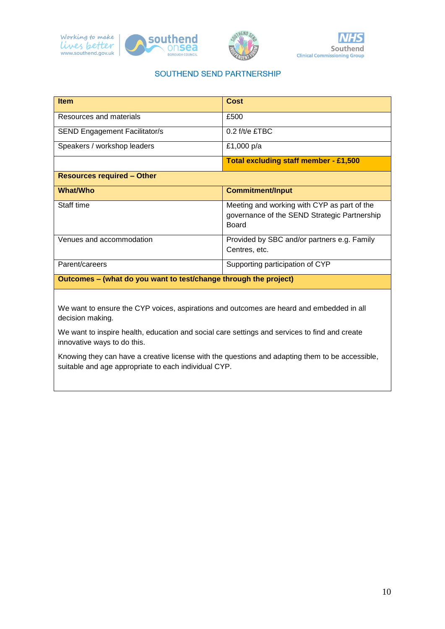







| <b>Item</b>                                                      | Cost                                                                                                 |  |
|------------------------------------------------------------------|------------------------------------------------------------------------------------------------------|--|
| Resources and materials                                          | £500                                                                                                 |  |
| <b>SEND Engagement Facilitator/s</b>                             | $0.2$ f/t/e £TBC                                                                                     |  |
| Speakers / workshop leaders                                      | £1,000 p/a                                                                                           |  |
|                                                                  | <b>Total excluding staff member - £1,500</b>                                                         |  |
| <b>Resources required - Other</b>                                |                                                                                                      |  |
| <b>What/Who</b>                                                  | <b>Commitment/Input</b>                                                                              |  |
| Staff time                                                       | Meeting and working with CYP as part of the<br>governance of the SEND Strategic Partnership<br>Board |  |
| Venues and accommodation                                         | Provided by SBC and/or partners e.g. Family<br>Centres, etc.                                         |  |
| Parent/careers                                                   | Supporting participation of CYP                                                                      |  |
| Outcomes – (what do you want to test/change through the project) |                                                                                                      |  |

We want to ensure the CYP voices, aspirations and outcomes are heard and embedded in all decision making.

We want to inspire health, education and social care settings and services to find and create innovative ways to do this.

Knowing they can have a creative license with the questions and adapting them to be accessible, suitable and age appropriate to each individual CYP.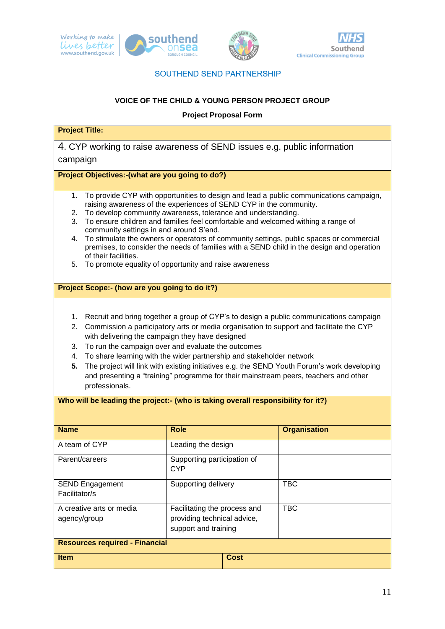

## **VOICE OF THE CHILD & YOUNG PERSON PROJECT GROUP**

#### **Project Proposal Form**

## **Project Title:**

4. CYP working to raise awareness of SEND issues e.g. public information campaign

## **Project Objectives:-(what are you going to do?)**

- 1. To provide CYP with opportunities to design and lead a public communications campaign, raising awareness of the experiences of SEND CYP in the community.
- 2. To develop community awareness, tolerance and understanding.
- 3. To ensure children and families feel comfortable and welcomed withing a range of community settings in and around S'end.
- 4. To stimulate the owners or operators of community settings, public spaces or commercial premises, to consider the needs of families with a SEND child in the design and operation of their facilities.
- 5. To promote equality of opportunity and raise awareness

#### **Project Scope:- (how are you going to do it?)**

- 1. Recruit and bring together a group of CYP's to design a public communications campaign
- 2. Commission a participatory arts or media organisation to support and facilitate the CYP with delivering the campaign they have designed
- 3. To run the campaign over and evaluate the outcomes
- 4. To share learning with the wider partnership and stakeholder network

**Who will be leading the project:- (who is taking overall responsibility for it?)**

**5.** The project will link with existing initiatives e.g. the SEND Youth Forum's work developing and presenting a "training" programme for their mainstream peers, teachers and other professionals.

| <b>Name</b>                              | <b>Role</b>                                                                         |      | <b>Organisation</b> |
|------------------------------------------|-------------------------------------------------------------------------------------|------|---------------------|
| A team of CYP                            | Leading the design                                                                  |      |                     |
| Parent/careers                           | Supporting participation of<br><b>CYP</b>                                           |      |                     |
| <b>SEND Engagement</b><br>Facilitator/s  | Supporting delivery                                                                 |      | <b>TBC</b>          |
| A creative arts or media<br>agency/group | Facilitating the process and<br>providing technical advice,<br>support and training |      | <b>TBC</b>          |
| <b>Resources required - Financial</b>    |                                                                                     |      |                     |
| <b>Item</b>                              |                                                                                     | Cost |                     |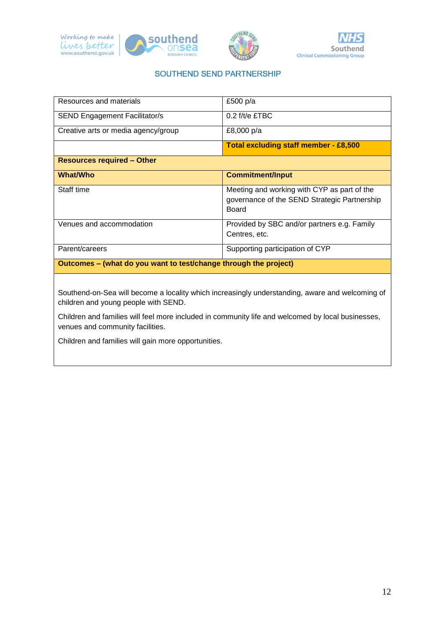





| Resources and materials                                          | £500 p/a                                                                                             |  |
|------------------------------------------------------------------|------------------------------------------------------------------------------------------------------|--|
| <b>SEND Engagement Facilitator/s</b>                             | $0.2$ f/t/e £TBC                                                                                     |  |
| Creative arts or media agency/group                              | £8,000 p/a                                                                                           |  |
|                                                                  | <b>Total excluding staff member - £8,500</b>                                                         |  |
| <b>Resources required - Other</b>                                |                                                                                                      |  |
| <b>What/Who</b>                                                  | <b>Commitment/Input</b>                                                                              |  |
| Staff time                                                       | Meeting and working with CYP as part of the<br>governance of the SEND Strategic Partnership<br>Board |  |
| Venues and accommodation                                         | Provided by SBC and/or partners e.g. Family<br>Centres, etc.                                         |  |
| Parent/careers                                                   | Supporting participation of CYP                                                                      |  |
| Outcomes – (what do you want to test/change through the project) |                                                                                                      |  |

Southend-on-Sea will become a locality which increasingly understanding, aware and welcoming of children and young people with SEND.

Children and families will feel more included in community life and welcomed by local businesses, venues and community facilities.

Children and families will gain more opportunities.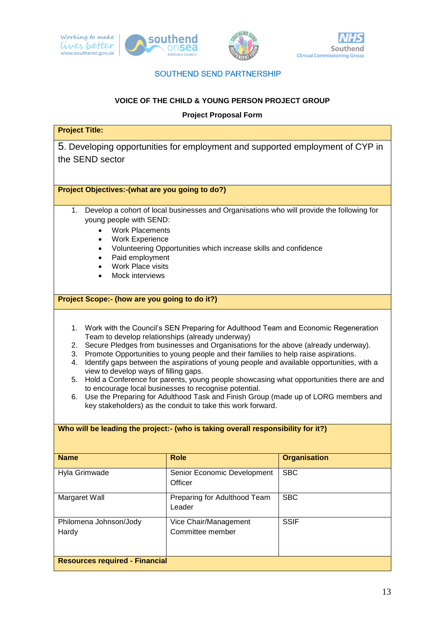

#### **VOICE OF THE CHILD & YOUNG PERSON PROJECT GROUP**

#### **Project Proposal Form**

## **Project Title:**

5. Developing opportunities for employment and supported employment of CYP in the SEND sector

**Project Objectives:-(what are you going to do?)**

- 1. Develop a cohort of local businesses and Organisations who will provide the following for young people with SEND:
	- Work Placements
	- Work Experience
	- Volunteering Opportunities which increase skills and confidence
	- Paid employment
	- Work Place visits
	- Mock interviews

#### **Project Scope:- (how are you going to do it?)**

- 1. Work with the Council's SEN Preparing for Adulthood Team and Economic Regeneration Team to develop relationships (already underway)
- 2. Secure Pledges from businesses and Organisations for the above (already underway).
- 3. Promote Opportunities to young people and their families to help raise aspirations.
- 4. Identify gaps between the aspirations of young people and available opportunities, with a view to develop ways of filling gaps.
- 5. Hold a Conference for parents, young people showcasing what opportunities there are and to encourage local businesses to recognise potential.
- 6. Use the Preparing for Adulthood Task and Finish Group (made up of LORG members and key stakeholders) as the conduit to take this work forward.

#### **Who will be leading the project:- (who is taking overall responsibility for it?)**

| <b>Name</b>                           | <b>Role</b>                               | <b>Organisation</b> |  |
|---------------------------------------|-------------------------------------------|---------------------|--|
| Hyla Grimwade                         | Senior Economic Development<br>Officer    | <b>SBC</b>          |  |
| Margaret Wall                         | Preparing for Adulthood Team<br>Leader    | <b>SBC</b>          |  |
| Philomena Johnson/Jody<br>Hardy       | Vice Chair/Management<br>Committee member | <b>SSIF</b>         |  |
| <b>Resources required - Financial</b> |                                           |                     |  |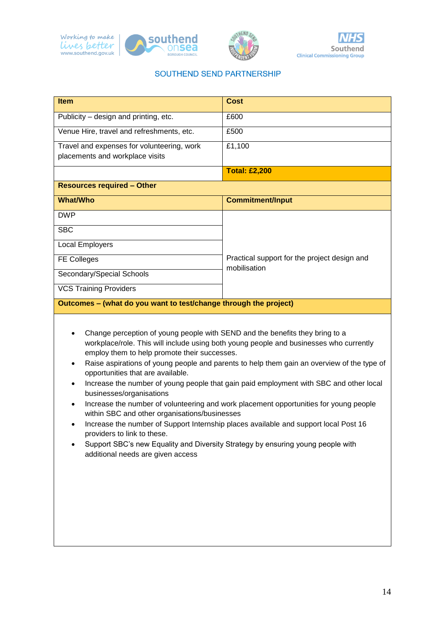







| <b>Item</b>                                                                                                                                                                                                                                                                                                                                                                                                                                                                                                                                                                                                                                                                                                                                                                                                                                                              | <b>Cost</b>                                                  |  |  |
|--------------------------------------------------------------------------------------------------------------------------------------------------------------------------------------------------------------------------------------------------------------------------------------------------------------------------------------------------------------------------------------------------------------------------------------------------------------------------------------------------------------------------------------------------------------------------------------------------------------------------------------------------------------------------------------------------------------------------------------------------------------------------------------------------------------------------------------------------------------------------|--------------------------------------------------------------|--|--|
|                                                                                                                                                                                                                                                                                                                                                                                                                                                                                                                                                                                                                                                                                                                                                                                                                                                                          |                                                              |  |  |
| Publicity - design and printing, etc.                                                                                                                                                                                                                                                                                                                                                                                                                                                                                                                                                                                                                                                                                                                                                                                                                                    | £600                                                         |  |  |
| Venue Hire, travel and refreshments, etc.                                                                                                                                                                                                                                                                                                                                                                                                                                                                                                                                                                                                                                                                                                                                                                                                                                | £500                                                         |  |  |
| Travel and expenses for volunteering, work                                                                                                                                                                                                                                                                                                                                                                                                                                                                                                                                                                                                                                                                                                                                                                                                                               | £1,100                                                       |  |  |
| placements and workplace visits                                                                                                                                                                                                                                                                                                                                                                                                                                                                                                                                                                                                                                                                                                                                                                                                                                          |                                                              |  |  |
|                                                                                                                                                                                                                                                                                                                                                                                                                                                                                                                                                                                                                                                                                                                                                                                                                                                                          | <b>Total: £2,200</b>                                         |  |  |
| <b>Resources required - Other</b>                                                                                                                                                                                                                                                                                                                                                                                                                                                                                                                                                                                                                                                                                                                                                                                                                                        |                                                              |  |  |
| <b>What/Who</b>                                                                                                                                                                                                                                                                                                                                                                                                                                                                                                                                                                                                                                                                                                                                                                                                                                                          | <b>Commitment/Input</b>                                      |  |  |
| <b>DWP</b>                                                                                                                                                                                                                                                                                                                                                                                                                                                                                                                                                                                                                                                                                                                                                                                                                                                               |                                                              |  |  |
| <b>SBC</b>                                                                                                                                                                                                                                                                                                                                                                                                                                                                                                                                                                                                                                                                                                                                                                                                                                                               |                                                              |  |  |
| Local Employers                                                                                                                                                                                                                                                                                                                                                                                                                                                                                                                                                                                                                                                                                                                                                                                                                                                          |                                                              |  |  |
| <b>FE Colleges</b>                                                                                                                                                                                                                                                                                                                                                                                                                                                                                                                                                                                                                                                                                                                                                                                                                                                       | Practical support for the project design and<br>mobilisation |  |  |
| Secondary/Special Schools                                                                                                                                                                                                                                                                                                                                                                                                                                                                                                                                                                                                                                                                                                                                                                                                                                                |                                                              |  |  |
| <b>VCS Training Providers</b>                                                                                                                                                                                                                                                                                                                                                                                                                                                                                                                                                                                                                                                                                                                                                                                                                                            |                                                              |  |  |
| Outcomes - (what do you want to test/change through the project)                                                                                                                                                                                                                                                                                                                                                                                                                                                                                                                                                                                                                                                                                                                                                                                                         |                                                              |  |  |
| Change perception of young people with SEND and the benefits they bring to a<br>workplace/role. This will include using both young people and businesses who currently<br>employ them to help promote their successes.<br>Raise aspirations of young people and parents to help them gain an overview of the type of<br>opportunities that are available.<br>Increase the number of young people that gain paid employment with SBC and other local<br>businesses/organisations<br>Increase the number of volunteering and work placement opportunities for young people<br>within SBC and other organisations/businesses<br>Increase the number of Support Internship places available and support local Post 16<br>providers to link to these.<br>Support SBC's new Equality and Diversity Strategy by ensuring young people with<br>additional needs are given access |                                                              |  |  |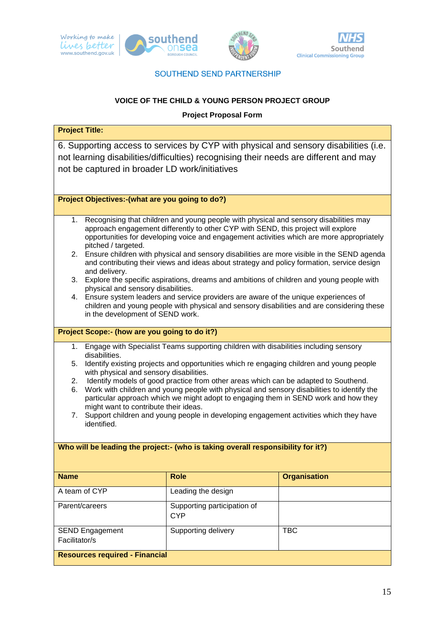

## **VOICE OF THE CHILD & YOUNG PERSON PROJECT GROUP**

## **Project Proposal Form**

| <b>Project Title:</b>                                                                                                                                                                                                                                                                                                                                                                                                                                                                                                                                                                                                                                                                                                                                                                                                                                                                |                                           |                     |  |
|--------------------------------------------------------------------------------------------------------------------------------------------------------------------------------------------------------------------------------------------------------------------------------------------------------------------------------------------------------------------------------------------------------------------------------------------------------------------------------------------------------------------------------------------------------------------------------------------------------------------------------------------------------------------------------------------------------------------------------------------------------------------------------------------------------------------------------------------------------------------------------------|-------------------------------------------|---------------------|--|
| 6. Supporting access to services by CYP with physical and sensory disabilities (i.e.<br>not learning disabilities/difficulties) recognising their needs are different and may<br>not be captured in broader LD work/initiatives                                                                                                                                                                                                                                                                                                                                                                                                                                                                                                                                                                                                                                                      |                                           |                     |  |
| Project Objectives:- (what are you going to do?)                                                                                                                                                                                                                                                                                                                                                                                                                                                                                                                                                                                                                                                                                                                                                                                                                                     |                                           |                     |  |
| Recognising that children and young people with physical and sensory disabilities may<br>1.<br>approach engagement differently to other CYP with SEND, this project will explore<br>opportunities for developing voice and engagement activities which are more appropriately<br>pitched / targeted.<br>2. Ensure children with physical and sensory disabilities are more visible in the SEND agenda<br>and contributing their views and ideas about strategy and policy formation, service design<br>and delivery.<br>3. Explore the specific aspirations, dreams and ambitions of children and young people with<br>physical and sensory disabilities.<br>4. Ensure system leaders and service providers are aware of the unique experiences of<br>children and young people with physical and sensory disabilities and are considering these<br>in the development of SEND work. |                                           |                     |  |
| Project Scope:- (how are you going to do it?)                                                                                                                                                                                                                                                                                                                                                                                                                                                                                                                                                                                                                                                                                                                                                                                                                                        |                                           |                     |  |
| Engage with Specialist Teams supporting children with disabilities including sensory<br>1.<br>disabilities.<br>Identify existing projects and opportunities which re engaging children and young people<br>5.<br>with physical and sensory disabilities.<br>Identify models of good practice from other areas which can be adapted to Southend.<br>2.<br>Work with children and young people with physical and sensory disabilities to identify the<br>6.<br>particular approach which we might adopt to engaging them in SEND work and how they<br>might want to contribute their ideas.<br>Support children and young people in developing engagement activities which they have<br>7.<br>identified.                                                                                                                                                                              |                                           |                     |  |
| Who will be leading the project:- (who is taking overall responsibility for it?)                                                                                                                                                                                                                                                                                                                                                                                                                                                                                                                                                                                                                                                                                                                                                                                                     |                                           |                     |  |
| <b>Name</b>                                                                                                                                                                                                                                                                                                                                                                                                                                                                                                                                                                                                                                                                                                                                                                                                                                                                          | <b>Role</b>                               | <b>Organisation</b> |  |
| A team of CYP                                                                                                                                                                                                                                                                                                                                                                                                                                                                                                                                                                                                                                                                                                                                                                                                                                                                        | Leading the design                        |                     |  |
| Parent/careers                                                                                                                                                                                                                                                                                                                                                                                                                                                                                                                                                                                                                                                                                                                                                                                                                                                                       | Supporting participation of<br><b>CYP</b> |                     |  |
| <b>SEND Engagement</b><br>Facilitator/s                                                                                                                                                                                                                                                                                                                                                                                                                                                                                                                                                                                                                                                                                                                                                                                                                                              | Supporting delivery                       | <b>TBC</b>          |  |
| <b>Resources required - Financial</b>                                                                                                                                                                                                                                                                                                                                                                                                                                                                                                                                                                                                                                                                                                                                                                                                                                                |                                           |                     |  |